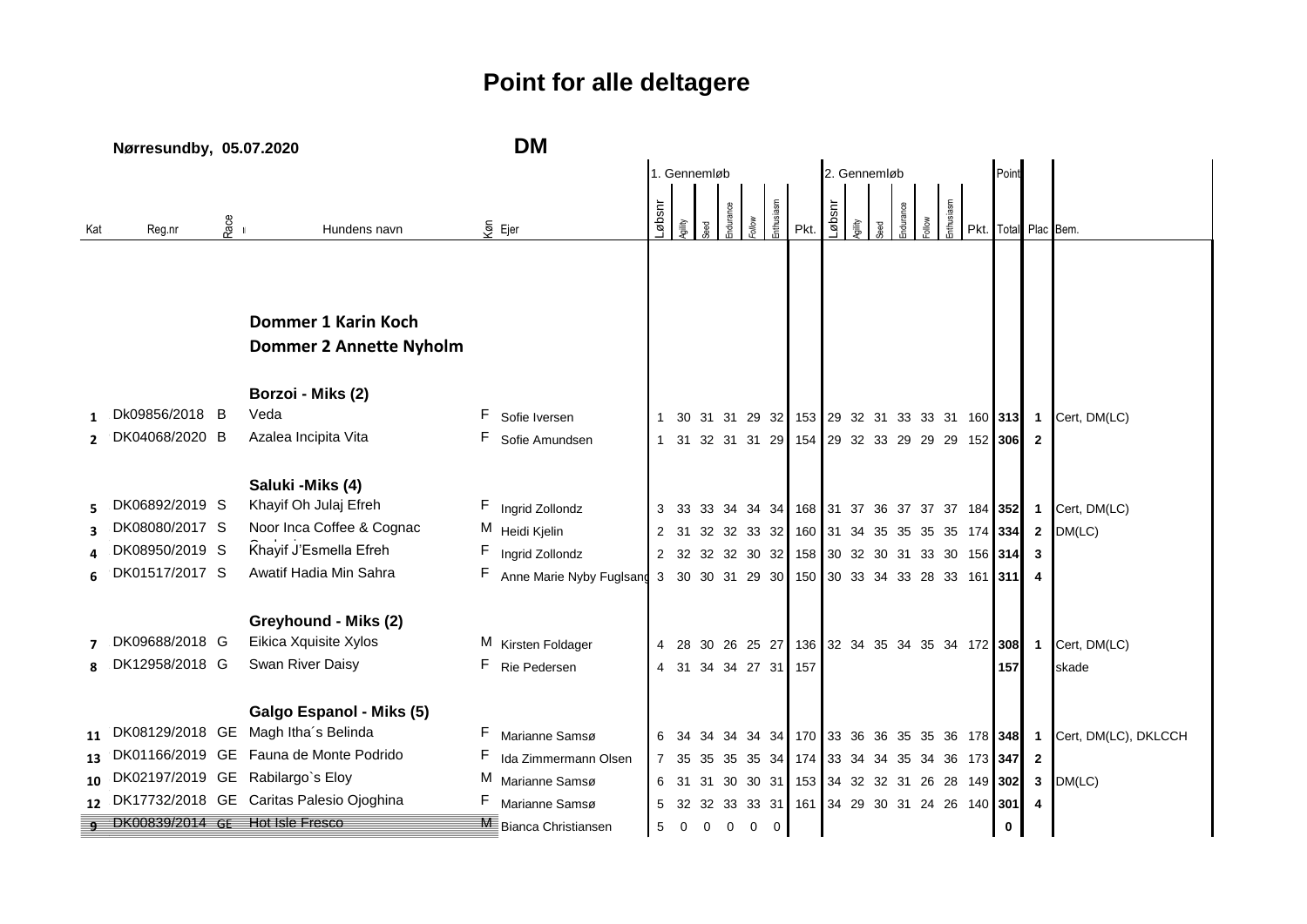## **Point for alle deltagere**

|              | Nørresundby, 05.07.2020           |         |                                                                 | <b>DM</b> |                               |              |                |                |             |             |             |                                                  |              |  |  |         |  |           |      |             |                |                                                                       |
|--------------|-----------------------------------|---------|-----------------------------------------------------------------|-----------|-------------------------------|--------------|----------------|----------------|-------------|-------------|-------------|--------------------------------------------------|--------------|--|--|---------|--|-----------|------|-------------|----------------|-----------------------------------------------------------------------|
|              |                                   |         |                                                                 |           |                               |              | 1. Gennemløb   |                |             |             |             |                                                  | 2. Gennemløb |  |  |         |  |           |      |             |                |                                                                       |
|              |                                   |         |                                                                 |           |                               |              |                |                |             |             |             |                                                  |              |  |  |         |  |           |      |             |                |                                                                       |
| Kat          | Reg.nr                            | $R$ ace | Hundens navn                                                    |           | $\overline{\S}$ Ejer          | usqø         |                |                |             |             |             | Pkt.                                             | usqø         |  |  | durance |  | nthusiasm | Pkt. |             |                | Total Plac Bem.                                                       |
|              |                                   |         |                                                                 |           |                               |              |                |                |             |             |             |                                                  |              |  |  |         |  |           |      |             |                |                                                                       |
|              |                                   |         |                                                                 |           |                               |              |                |                |             |             |             |                                                  |              |  |  |         |  |           |      |             |                |                                                                       |
|              |                                   |         |                                                                 |           |                               |              |                |                |             |             |             |                                                  |              |  |  |         |  |           |      |             |                |                                                                       |
|              |                                   |         | Dommer 1 Karin Koch                                             |           |                               |              |                |                |             |             |             |                                                  |              |  |  |         |  |           |      |             |                |                                                                       |
|              |                                   |         | <b>Dommer 2 Annette Nyholm</b>                                  |           |                               |              |                |                |             |             |             |                                                  |              |  |  |         |  |           |      |             |                |                                                                       |
|              |                                   |         | Borzoi - Miks (2)                                               |           |                               |              |                |                |             |             |             |                                                  |              |  |  |         |  |           |      |             |                |                                                                       |
|              | Dk09856/2018 B                    |         | Veda                                                            | F.        | Sofie Iversen                 | $\mathbf{1}$ |                |                |             |             |             |                                                  |              |  |  |         |  |           |      |             |                | 30 31 31 29 32 153 29 32 31 33 33 31 160 313 1 Cert, DM(LC)           |
|              | DK04068/2020 B                    |         | Azalea Incipita Vita                                            | F.        | Sofie Amundsen                |              |                |                |             |             |             | 1 31 32 31 31 29 154 29 32 33 29 29 29 152 306 2 |              |  |  |         |  |           |      |             |                |                                                                       |
|              |                                   |         |                                                                 |           |                               |              |                |                |             |             |             |                                                  |              |  |  |         |  |           |      |             |                |                                                                       |
|              |                                   |         | Saluki - Miks (4)                                               |           |                               |              |                |                |             |             |             |                                                  |              |  |  |         |  |           |      |             |                |                                                                       |
|              | DK06892/2019 S                    |         | Khayif Oh Julaj Efreh                                           |           | F Ingrid Zollondz             |              |                |                |             |             |             |                                                  |              |  |  |         |  |           |      |             |                | 3 33 33 34 34 34 168 31 37 36 37 37 37 184 352 1 Cert, DM(LC)         |
|              | DK08080/2017 S                    |         | Noor Inca Coffee & Cognac                                       |           | M Heidi Kjelin                |              |                |                |             |             |             | 2 31 32 32 33 32 160 31 34 35 35 35 35 174 334 2 |              |  |  |         |  |           |      |             |                | DM(LC)                                                                |
|              | DK08950/2019 S                    |         | Khayif J'Esmella Efreh                                          |           | Ingrid Zollondz               |              |                |                |             |             |             | 2 32 32 32 30 32 158 30 32 30 31 33 30 156 314   |              |  |  |         |  |           |      |             | $\mathbf{3}$   |                                                                       |
|              | DK01517/2017 S                    |         | Awatif Hadia Min Sahra                                          |           | F Anne Marie Nyby Fuglsang    |              |                |                |             |             |             | 3 30 30 31 29 30 150 30 33 34 33 28 33 161 311 4 |              |  |  |         |  |           |      |             |                |                                                                       |
|              |                                   |         |                                                                 |           |                               |              |                |                |             |             |             |                                                  |              |  |  |         |  |           |      |             |                |                                                                       |
|              |                                   |         | Greyhound - Miks (2)                                            |           |                               |              |                |                |             |             |             |                                                  |              |  |  |         |  |           |      |             |                |                                                                       |
|              | DK09688/2018 G                    |         | Eikica Xquisite Xylos                                           |           | M Kirsten Foldager            |              |                |                |             |             |             |                                                  |              |  |  |         |  |           |      |             |                | 4 28 30 26 25 27 136 32 34 35 34 35 34 172 308 1 Cert, DM(LC)         |
| $\mathbf{R}$ | DK12958/2018 G                    |         | Swan River Daisy                                                |           | F Rie Pedersen                |              |                |                |             |             |             | 4 31 34 34 27 31 157                             |              |  |  |         |  |           |      | 157         |                | skade                                                                 |
|              |                                   |         |                                                                 |           |                               |              |                |                |             |             |             |                                                  |              |  |  |         |  |           |      |             |                |                                                                       |
| 11           |                                   |         | Galgo Espanol - Miks (5)<br>DK08129/2018 GE Magh Itha's Belinda | F.        | Marianne Samsø                |              |                |                |             |             |             |                                                  |              |  |  |         |  |           |      |             |                | 6 34 34 34 34 34 170 33 36 36 35 35 36 178 348 1 Cert, DM(LC), DKLCCH |
|              |                                   |         | DK01166/2019 GE Fauna de Monte Podrido                          |           | Ida Zimmermann Olsen          |              |                |                |             |             |             | 7 35 35 35 35 34 174 33 34 34 35 34 36 173 347   |              |  |  |         |  |           |      |             | $\overline{2}$ |                                                                       |
| 10           |                                   |         | DK02197/2019 GE Rabilargo's Eloy                                |           | M Marianne Samsø              |              |                |                |             |             |             | 6 31 31 30 30 31 153 34 32 32 31 26 28 149 302   |              |  |  |         |  |           |      |             | $\mathbf{3}$   | DM(LC)                                                                |
|              |                                   |         | DK17732/2018 GE Caritas Palesio Ojoghina                        | F         | Marianne Samsø                |              |                |                |             |             |             | 5 32 32 33 33 31 161 34 29 30 31 24 26 140 301 4 |              |  |  |         |  |           |      |             |                |                                                                       |
|              | g DK00839/2014 GE Hot Isle Fresco |         |                                                                 |           | <b>ME</b> Bianca Christiansen | 5            | $\overline{0}$ | $\overline{0}$ | $\mathbf 0$ | $\mathbf 0$ | $\mathbf 0$ |                                                  |              |  |  |         |  |           |      | $\mathbf 0$ |                |                                                                       |
|              |                                   |         |                                                                 |           |                               |              |                |                |             |             |             |                                                  |              |  |  |         |  |           |      |             |                |                                                                       |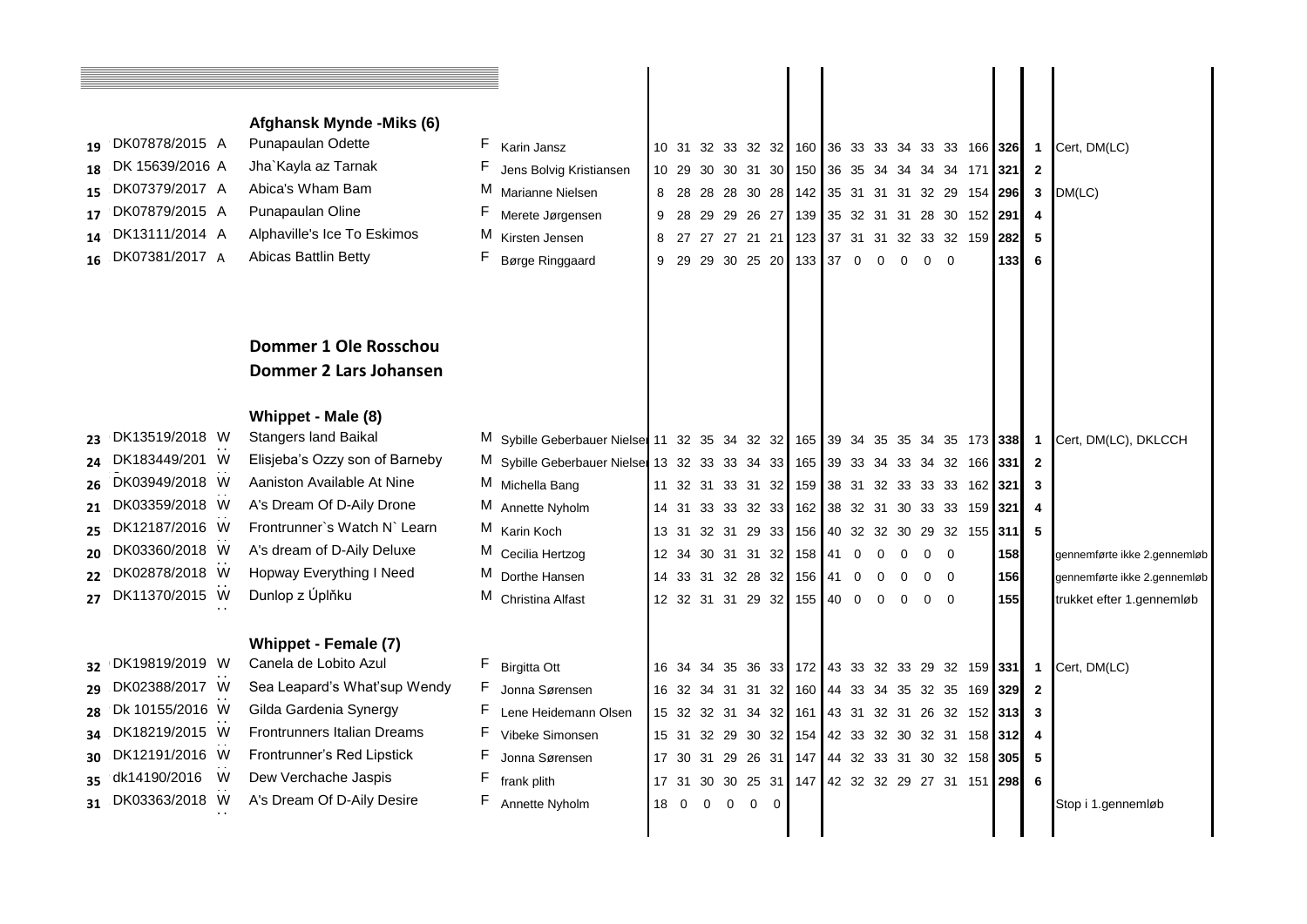|    |                    | Afghansk Mynde - Miks (6)      |                                                                               |      |             |             |            |                                                   |  |          |          |            |     |     |                         |                              |
|----|--------------------|--------------------------------|-------------------------------------------------------------------------------|------|-------------|-------------|------------|---------------------------------------------------|--|----------|----------|------------|-----|-----|-------------------------|------------------------------|
|    | 19 DK07878/2015 A  | Punapaulan Odette              | F Karin Jansz                                                                 |      |             |             |            | 10 31 32 33 32 32 160 36 33 33 34 33 33 166 326 1 |  |          |          |            |     |     |                         | Cert, DM(LC)                 |
|    | 18 DK 15639/2016 A | Jha`Kayla az Tarnak            | Jens Bolvig Kristiansen                                                       |      |             |             |            | 10 29 30 30 31 30 150 36 35 34 34 34 34 171 321 2 |  |          |          |            |     |     |                         |                              |
| 15 | DK07379/2017 A     | Abica's Wham Bam               | M Marianne Nielsen                                                            |      |             |             |            |                                                   |  |          |          |            |     |     |                         |                              |
|    | DK07879/2015 A     | Punapaulan Oline               | Merete Jørgensen                                                              |      |             |             |            | 8 28 28 28 30 28 142 35 31 31 31 32 29 154 296 3  |  |          |          |            |     |     |                         | DM(LC)                       |
| 17 | 14 DK13111/2014 A  | Alphaville's Ice To Eskimos    | M Kirsten Jensen                                                              |      |             |             |            | 9 28 29 29 26 27 139 35 32 31 31 28 30 152 291    |  |          |          |            |     |     | $\overline{4}$          |                              |
|    | 16 DK07381/2017 A  | Abicas Battlin Betty           |                                                                               |      |             |             |            | 8 27 27 27 21 21 123 37 31 31 32 33 32 159 282    |  |          |          |            |     |     | - 5                     |                              |
|    |                    |                                | F Børge Ringgaard                                                             |      |             |             |            | 9 29 29 30 25 20 133 37 0 0                       |  |          | $\Omega$ | $0\quad 0$ |     | 133 | - 6                     |                              |
|    |                    |                                |                                                                               |      |             |             |            |                                                   |  |          |          |            |     |     |                         |                              |
|    |                    |                                |                                                                               |      |             |             |            |                                                   |  |          |          |            |     |     |                         |                              |
|    |                    | Dommer 1 Ole Rosschou          |                                                                               |      |             |             |            |                                                   |  |          |          |            |     |     |                         |                              |
|    |                    | Dommer 2 Lars Johansen         |                                                                               |      |             |             |            |                                                   |  |          |          |            |     |     |                         |                              |
|    |                    | Whippet - Male (8)             |                                                                               |      |             |             |            |                                                   |  |          |          |            |     |     |                         |                              |
|    | 23 DK13519/2018 W  | <b>Stangers land Baikal</b>    | M Sybille Geberbauer Nielse 11 32 35 34 32 32 165 39 34 35 35 34 35 173 338 1 |      |             |             |            |                                                   |  |          |          |            |     |     |                         | Cert, DM(LC), DKLCCH         |
|    | DK183449/201 W     | Elisjeba's Ozzy son of Barneby | M Sybille Geberbauer Nielse 13 32 33 33 34 33 165 39 33 34 33 34 32 166 331 2 |      |             |             |            |                                                   |  |          |          |            |     |     |                         |                              |
| 26 | DK03949/2018 W     | Aaniston Available At Nine     | M Michella Bang                                                               |      |             |             |            | 11 32 31 33 31 32 159 38 31 32 33 33 33 162 321   |  |          |          |            |     |     | $\overline{\mathbf{3}}$ |                              |
| 21 | DK03359/2018 W     | A's Dream Of D-Aily Drone      | M Annette Nyholm                                                              |      |             |             |            | 14 31 33 33 32 33 162 38 32 31 30 33 33 159 321   |  |          |          |            |     |     | 4                       |                              |
|    | 25 DK12187/2016 W  | Frontrunner's Watch N' Learn   | M Karin Koch                                                                  |      |             |             |            | 13 31 32 31 29 33 156 40 32 32 30 29 32 155 311   |  |          |          |            |     |     | 5                       |                              |
|    | 20 DK03360/2018 W  | A's dream of D-Aily Deluxe     | M Cecilia Hertzog                                                             |      |             |             |            | 12 34 30 31 31 32 158 41 0                        |  | $\Omega$ | $\Omega$ | 0          | - 0 | 158 |                         | gennemførte ikke 2.gennemløb |
|    | DK02878/2018 W     | Hopway Everything I Need       | M Dorthe Hansen                                                               |      |             |             |            | 14 33 31 32 28 32 156 41 0                        |  | $\Omega$ |          | $0\quad 0$ |     | 156 |                         | gennemførte ikke 2.gennemløb |
|    | 27 DK11370/2015 W  | Dunlop z Úplňku                | M Christina Alfast                                                            |      |             |             |            | 12 32 31 31 29 32 155 40 0                        |  | $\Omega$ | $\Omega$ | $0\quad 0$ |     | 155 |                         | trukket efter 1.gennemløb    |
|    |                    |                                |                                                                               |      |             |             |            |                                                   |  |          |          |            |     |     |                         |                              |
|    |                    | Whippet - Female (7)           |                                                                               |      |             |             |            |                                                   |  |          |          |            |     |     |                         |                              |
|    | 32 DK19819/2019 W  | Canela de Lobito Azul          | F Birgitta Ott                                                                |      |             |             |            | 16 34 34 35 36 33 172 43 33 32 33 29 32 159 331 1 |  |          |          |            |     |     |                         | Cert, DM(LC)                 |
|    | DK02388/2017 W     | Sea Leapard's What'sup Wendy   | Jonna Sørensen                                                                |      |             |             |            | 16 32 34 31 31 32 160 44 33 34 35 32 35 169 329 2 |  |          |          |            |     |     |                         |                              |
|    | 28 Dk 10155/2016 W | Gilda Gardenia Synergy         | Lene Heidemann Olsen                                                          |      |             |             |            | 15 32 32 31 34 32 161 43 31 32 31 26 32 152 313 3 |  |          |          |            |     |     |                         |                              |
|    | 34 DK18219/2015 W  | Frontrunners Italian Dreams    | Vibeke Simonsen                                                               |      |             |             |            | 15 31 32 29 30 32 154 42 33 32 30 32 31 158 312   |  |          |          |            |     |     |                         |                              |
|    | 30 DK12191/2016 W  | Frontrunner's Red Lipstick     | Jonna Sørensen                                                                |      |             |             |            | 17 30 31 29 26 31 147 44 32 33 31 30 32 158 305 5 |  |          |          |            |     |     |                         |                              |
|    | 35 dk14190/2016 W  | Dew Verchache Jaspis           | frank plith                                                                   |      |             |             |            | 17 31 30 30 25 31 147 42 32 32 29 27 31 151 298   |  |          |          |            |     |     | 6                       |                              |
|    | 31 DK03363/2018 W  | A's Dream Of D-Aily Desire     | Annette Nyholm                                                                | 18 0 | $\mathbf 0$ | $\mathbf 0$ | $0\quad 0$ |                                                   |  |          |          |            |     |     |                         | Stop i 1.gennemløb           |
|    |                    |                                |                                                                               |      |             |             |            |                                                   |  |          |          |            |     |     |                         |                              |